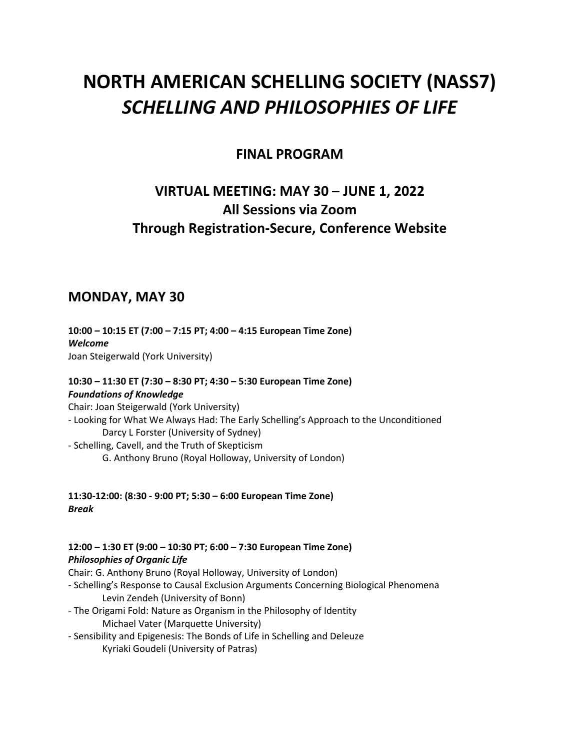# **NORTH AMERICAN SCHELLING SOCIETY (NASS7)** *SCHELLING AND PHILOSOPHIES OF LIFE*

### **FINAL PROGRAM**

# **VIRTUAL MEETING: MAY 30 – JUNE 1, 2022 All Sessions via Zoom Through Registration-Secure, Conference Website**

### **MONDAY, MAY 30**

**10:00 – 10:15 ET (7:00 – 7:15 PT; 4:00 – 4:15 European Time Zone)** *Welcome* Joan Steigerwald (York University)

#### **10:30 – 11:30 ET (7:30 – 8:30 PT; 4:30 – 5:30 European Time Zone)** *Foundations of Knowledge* Chair: Joan Steigerwald (York University)

- Looking for What We Always Had: The Early Schelling's Approach to the Unconditioned Darcy L Forster (University of Sydney) - Schelling, Cavell, and the Truth of Skepticism G. Anthony Bruno (Royal Holloway, University of London)

**11:30-12:00: (8:30 - 9:00 PT; 5:30 – 6:00 European Time Zone)** *Break*

#### **12:00 – 1:30 ET (9:00 – 10:30 PT; 6:00 – 7:30 European Time Zone)** *Philosophies of Organic Life*

Chair: G. Anthony Bruno (Royal Holloway, University of London)

- Schelling's Response to Causal Exclusion Arguments Concerning Biological Phenomena Levin Zendeh (University of Bonn)
- The Origami Fold: Nature as Organism in the Philosophy of Identity Michael Vater (Marquette University)
- Sensibility and Epigenesis: The Bonds of Life in Schelling and Deleuze Kyriaki Goudeli (University of Patras)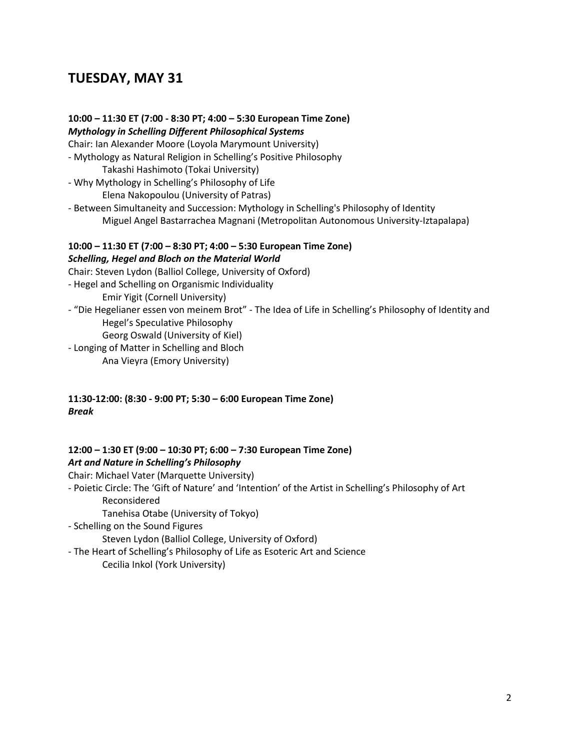# **TUESDAY, MAY 31**

**10:00 – 11:30 ET (7:00 - 8:30 PT; 4:00 – 5:30 European Time Zone)** *Mythology in Schelling Different Philosophical Systems* Chair: Ian Alexander Moore (Loyola Marymount University) - Mythology as Natural Religion in Schelling's Positive Philosophy Takashi Hashimoto (Tokai University) - Why Mythology in Schelling's Philosophy of Life Elena Nakopoulou (University of Patras) - Between Simultaneity and Succession: Mythology in Schelling's Philosophy of Identity Miguel Angel Bastarrachea Magnani (Metropolitan Autonomous University-Iztapalapa) **10:00 – 11:30 ET (7:00 – 8:30 PT; 4:00 – 5:30 European Time Zone)** *Schelling, Hegel and Bloch on the Material World* Chair: Steven Lydon (Balliol College, University of Oxford) - Hegel and Schelling on Organismic Individuality Emir Yigit (Cornell University)

- "Die Hegelianer essen von meinem Brot" The Idea of Life in Schelling's Philosophy of Identity and Hegel's Speculative Philosophy Georg Oswald (University of Kiel)
- Longing of Matter in Schelling and Bloch Ana Vieyra (Emory University)

#### **11:30-12:00: (8:30 - 9:00 PT; 5:30 – 6:00 European Time Zone)** *Break*

#### **12:00 – 1:30 ET (9:00 – 10:30 PT; 6:00 – 7:30 European Time Zone)** *Art and Nature in Schelling's Philosophy*

Chair: Michael Vater (Marquette University)

- Poietic Circle: The 'Gift of Nature' and 'Intention' of the Artist in Schelling's Philosophy of Art Reconsidered

Tanehisa Otabe (University of Tokyo)

- Schelling on the Sound Figures

Steven Lydon (Balliol College, University of Oxford)

- The Heart of Schelling's Philosophy of Life as Esoteric Art and Science Cecilia Inkol (York University)